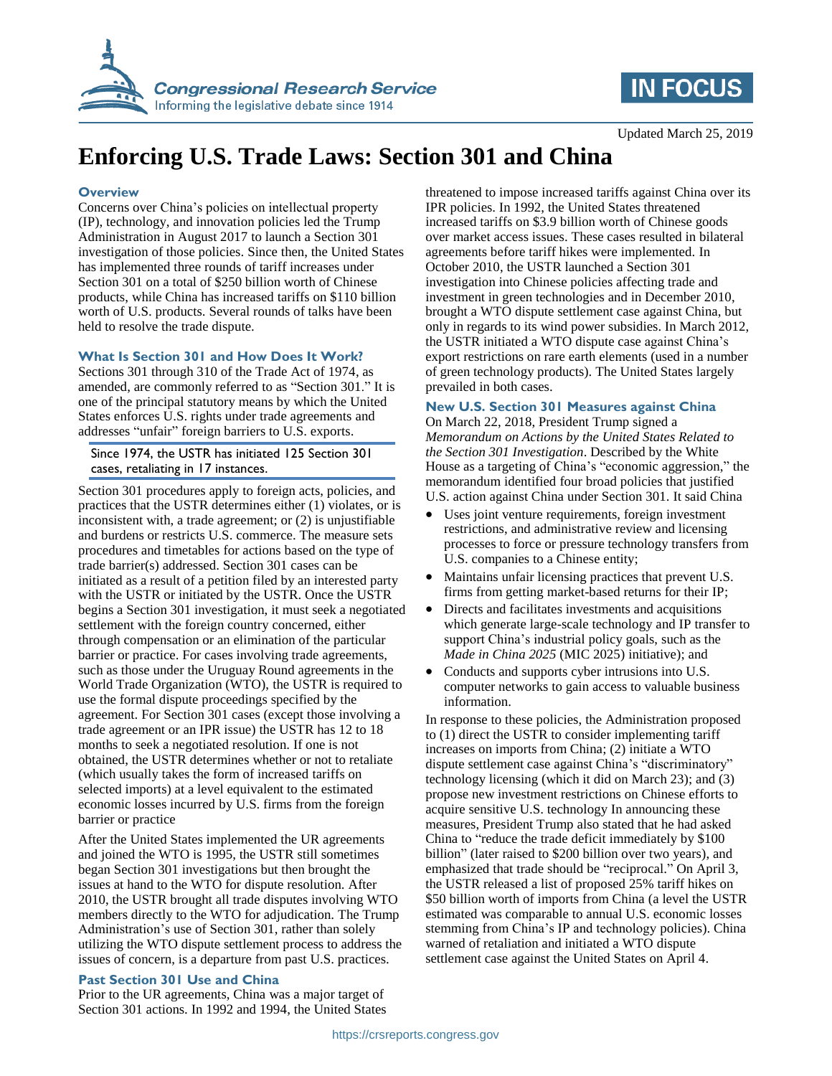



Updated March 25, 2019

# **Enforcing U.S. Trade Laws: Section 301 and China**

#### **Overview**

Concerns over China's policies on intellectual property (IP), technology, and innovation policies led the Trump Administration in August 2017 to launch a Section 301 investigation of those policies. Since then, the United States has implemented three rounds of tariff increases under Section 301 on a total of \$250 billion worth of Chinese products, while China has increased tariffs on \$110 billion worth of U.S. products. Several rounds of talks have been held to resolve the trade dispute.

#### **What Is Section 301 and How Does It Work?**

Sections 301 through 310 of the Trade Act of 1974, as amended, are commonly referred to as "Section 301." It is one of the principal statutory means by which the United States enforces U.S. rights under trade agreements and addresses "unfair" foreign barriers to U.S. exports.

Since 1974, the USTR has initiated 125 Section 301 cases, retaliating in 17 instances.

Section 301 procedures apply to foreign acts, policies, and practices that the USTR determines either (1) violates, or is inconsistent with, a trade agreement; or (2) is unjustifiable and burdens or restricts U.S. commerce. The measure sets procedures and timetables for actions based on the type of trade barrier(s) addressed. Section 301 cases can be initiated as a result of a petition filed by an interested party with the USTR or initiated by the USTR. Once the USTR begins a Section 301 investigation, it must seek a negotiated settlement with the foreign country concerned, either through compensation or an elimination of the particular barrier or practice. For cases involving trade agreements, such as those under the Uruguay Round agreements in the World Trade Organization (WTO), the USTR is required to use the formal dispute proceedings specified by the agreement. For Section 301 cases (except those involving a trade agreement or an IPR issue) the USTR has 12 to 18 months to seek a negotiated resolution. If one is not obtained, the USTR determines whether or not to retaliate (which usually takes the form of increased tariffs on selected imports) at a level equivalent to the estimated economic losses incurred by U.S. firms from the foreign barrier or practice

After the United States implemented the UR agreements and joined the WTO is 1995, the USTR still sometimes began Section 301 investigations but then brought the issues at hand to the WTO for dispute resolution. After 2010, the USTR brought all trade disputes involving WTO members directly to the WTO for adjudication. The Trump Administration's use of Section 301, rather than solely utilizing the WTO dispute settlement process to address the issues of concern, is a departure from past U.S. practices.

#### **Past Section 301 Use and China**

Prior to the UR agreements, China was a major target of Section 301 actions. In 1992 and 1994, the United States threatened to impose increased tariffs against China over its IPR policies. In 1992, the United States threatened increased tariffs on \$3.9 billion worth of Chinese goods over market access issues. These cases resulted in bilateral agreements before tariff hikes were implemented. In October 2010, the USTR launched a Section 301 investigation into Chinese policies affecting trade and investment in green technologies and in December 2010, brought a WTO dispute settlement case against China, but only in regards to its wind power subsidies. In March 2012, the USTR initiated a WTO dispute case against China's export restrictions on rare earth elements (used in a number of green technology products). The United States largely prevailed in both cases.

### **New U.S. Section 301 Measures against China**

On March 22, 2018, President Trump signed a *Memorandum on Actions by the United States Related to the Section 301 Investigation*. Described by the White House as a targeting of China's "economic aggression," the memorandum identified four broad policies that justified U.S. action against China under Section 301. It said China

- Uses joint venture requirements, foreign investment restrictions, and administrative review and licensing processes to force or pressure technology transfers from U.S. companies to a Chinese entity;
- Maintains unfair licensing practices that prevent U.S. firms from getting market-based returns for their IP;
- Directs and facilitates investments and acquisitions which generate large-scale technology and IP transfer to support China's industrial policy goals, such as the *Made in China 2025* (MIC 2025) initiative); and
- Conducts and supports cyber intrusions into U.S. computer networks to gain access to valuable business information.

In response to these policies, the Administration proposed to (1) direct the USTR to consider implementing tariff increases on imports from China; (2) initiate a WTO dispute settlement case against China's "discriminatory" technology licensing (which it did on March 23); and (3) propose new investment restrictions on Chinese efforts to acquire sensitive U.S. technology In announcing these measures, President Trump also stated that he had asked China to "reduce the trade deficit immediately by \$100 billion" (later raised to \$200 billion over two years), and emphasized that trade should be "reciprocal." On April 3, the USTR released a list of proposed 25% tariff hikes on \$50 billion worth of imports from China (a level the USTR estimated was comparable to annual U.S. economic losses stemming from China's IP and technology policies). China warned of retaliation and initiated a WTO dispute settlement case against the United States on April 4.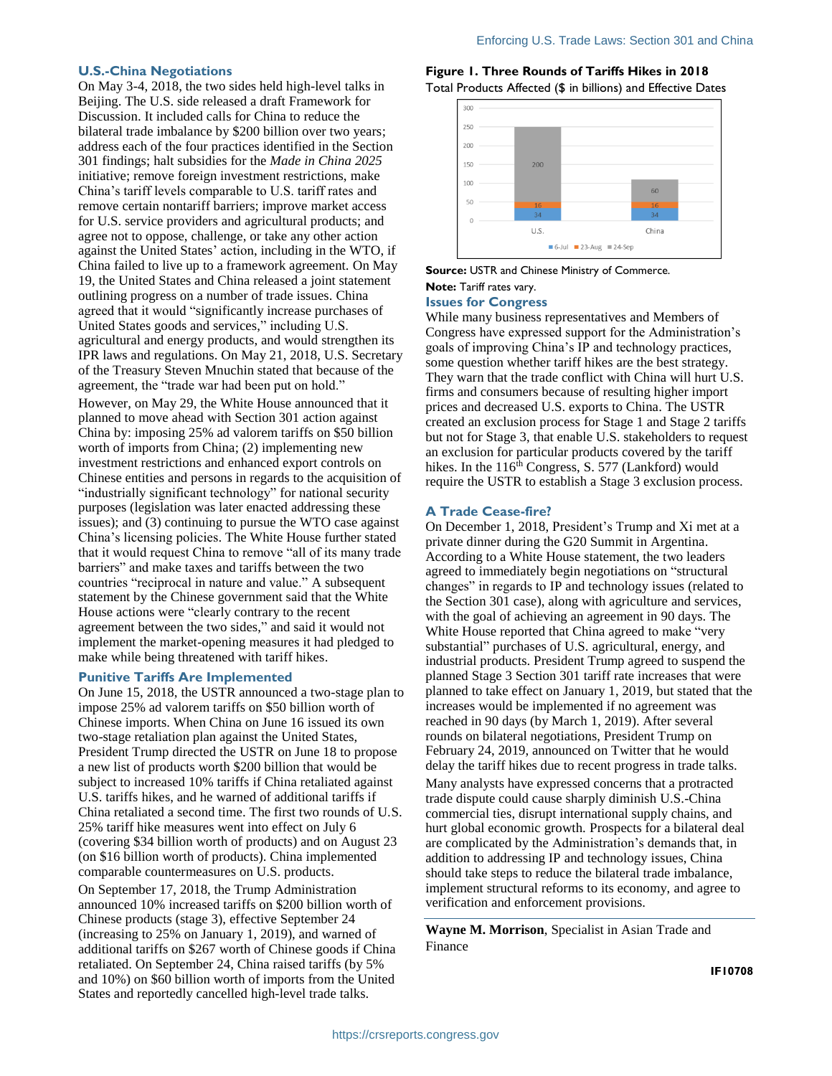#### **U.S.-China Negotiations**

On May 3-4, 2018, the two sides held high-level talks in Beijing. The U.S. side released a draft Framework for Discussion. It included calls for China to reduce the bilateral trade imbalance by \$200 billion over two years; address each of the four practices identified in the Section 301 findings; halt subsidies for the *Made in China 2025* initiative; remove foreign investment restrictions, make China's tariff levels comparable to U.S. tariff rates and remove certain nontariff barriers; improve market access for U.S. service providers and agricultural products; and agree not to oppose, challenge, or take any other action against the United States' action, including in the WTO, if China failed to live up to a framework agreement. On May 19, the United States and China released a joint statement outlining progress on a number of trade issues. China agreed that it would "significantly increase purchases of United States goods and services," including U.S. agricultural and energy products, and would strengthen its IPR laws and regulations. On May 21, 2018, U.S. Secretary of the Treasury Steven Mnuchin stated that because of the agreement, the "trade war had been put on hold."

However, on May 29, the White House announced that it planned to move ahead with Section 301 action against China by: imposing 25% ad valorem tariffs on \$50 billion worth of imports from China; (2) implementing new investment restrictions and enhanced export controls on Chinese entities and persons in regards to the acquisition of "industrially significant technology" for national security purposes (legislation was later enacted addressing these issues); and (3) continuing to pursue the WTO case against China's licensing policies. The White House further stated that it would request China to remove "all of its many trade barriers" and make taxes and tariffs between the two countries "reciprocal in nature and value." A subsequent statement by the Chinese government said that the White House actions were "clearly contrary to the recent agreement between the two sides," and said it would not implement the market-opening measures it had pledged to make while being threatened with tariff hikes.

#### **Punitive Tariffs Are Implemented**

On June 15, 2018, the USTR announced a two-stage plan to impose 25% ad valorem tariffs on \$50 billion worth of Chinese imports. When China on June 16 issued its own two-stage retaliation plan against the United States, President Trump directed the USTR on June 18 to propose a new list of products worth \$200 billion that would be subject to increased 10% tariffs if China retaliated against U.S. tariffs hikes, and he warned of additional tariffs if China retaliated a second time. The first two rounds of U.S. 25% tariff hike measures went into effect on July 6 (covering \$34 billion worth of products) and on August 23 (on \$16 billion worth of products). China implemented comparable countermeasures on U.S. products. On September 17, 2018, the Trump Administration announced 10% increased tariffs on \$200 billion worth of Chinese products (stage 3), effective September 24 (increasing to 25% on January 1, 2019), and warned of additional tariffs on \$267 worth of Chinese goods if China retaliated. On September 24, China raised tariffs (by 5% and 10%) on \$60 billion worth of imports from the United States and reportedly cancelled high-level trade talks.

#### **Figure 1. Three Rounds of Tariffs Hikes in 2018** Total Products Affected (\$ in billions) and Effective Dates



# **Source:** USTR and Chinese Ministry of Commerce. **Note:** Tariff rates vary.

# **Issues for Congress**

While many business representatives and Members of Congress have expressed support for the Administration's goals of improving China's IP and technology practices, some question whether tariff hikes are the best strategy. They warn that the trade conflict with China will hurt U.S. firms and consumers because of resulting higher import prices and decreased U.S. exports to China. The USTR created an exclusion process for Stage 1 and Stage 2 tariffs but not for Stage 3, that enable U.S. stakeholders to request an exclusion for particular products covered by the tariff hikes. In the  $116<sup>th</sup> Congress, S. 577 (Lankford) would$ require the USTR to establish a Stage 3 exclusion process.

#### **A Trade Cease-fire?**

On December 1, 2018, President's Trump and Xi met at a private dinner during the G20 Summit in Argentina. According to a White House statement, the two leaders agreed to immediately begin negotiations on "structural changes" in regards to IP and technology issues (related to the Section 301 case), along with agriculture and services, with the goal of achieving an agreement in 90 days. The White House reported that China agreed to make "very substantial" purchases of U.S. agricultural, energy, and industrial products. President Trump agreed to suspend the planned Stage 3 Section 301 tariff rate increases that were planned to take effect on January 1, 2019, but stated that the increases would be implemented if no agreement was reached in 90 days (by March 1, 2019). After several rounds on bilateral negotiations, President Trump on February 24, 2019, announced on Twitter that he would delay the tariff hikes due to recent progress in trade talks. Many analysts have expressed concerns that a protracted trade dispute could cause sharply diminish U.S.-China commercial ties, disrupt international supply chains, and hurt global economic growth. Prospects for a bilateral deal are complicated by the Administration's demands that, in addition to addressing IP and technology issues, China should take steps to reduce the bilateral trade imbalance, implement structural reforms to its economy, and agree to verification and enforcement provisions.

**Wayne M. Morrison**, Specialist in Asian Trade and Finance